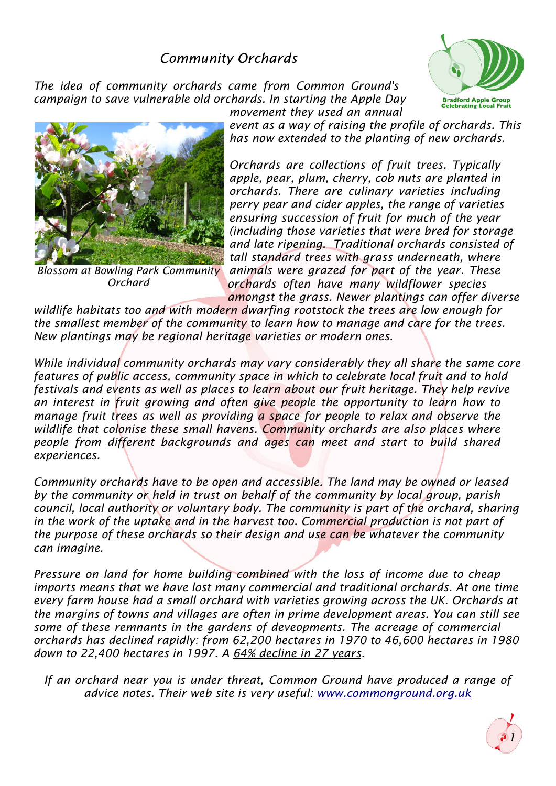## **Community Orchards**

*The idea of community orchards came from Common Ground's campaign to save vulnerable old orchards. In starting the Apple Day*





*Blossom at Bowling Park Community Orchard*

*movement they used an annual event as a way of raising the profile of orchards. This has now extended to the planting of new orchards.*

*Orchards are collections of fruit trees. Typically apple, pear, plum, cherry, cob nuts are planted in orchards. There are culinary varieties including perry pear and cider apples, the range of varieties ensuring succession of fruit for much of the year (including those varieties that were bred for storage and late ripening. Traditional orchards consisted of tall standard trees with grass underneath, where animals were grazed for part of the year. These orchards often have many wildflower species*

*amongst the grass. Newer plantings can offer diverse wildlife habitats too and with modern dwarfing rootstock the trees are low enough for the smallest member of the community to learn how to manage and care for the trees. New plantings may be regional heritage varieties or modern ones.*

*While individual community orchards may vary considerably they all share the same core features of public access, community space in which to celebrate local fruit and to hold festivals and events as well as places to learn about our fruit heritage. They help revive an interest in fruit growing and often give people the opportunity to learn how to manage fruit trees as well as providing a space for people to relax and observe the wildlife that colonise these small havens. Community orchards are also places where people from different backgrounds and ages can meet and start to build shared experiences.*

*Community orchards have to be open and accessible. The land may be owned or leased by the community or held in trust on behalf of the community by local group, parish council, local authority or voluntary body. The community is part of the orchard, sharing in the work of the uptake and in the harvest too. Commercial production is not part of the purpose of these orchards so their design and use can be whatever the community can imagine.*

*Pressure on land for home building combined with the loss of income due to cheap imports means that we have lost many commercial and traditional orchards. At one time every farm house had a small orchard with varieties growing across the UK. Orchards at the margins of towns and villages are often in prime development areas. You can still see some of these remnants in the gardens of deveopments. The acreage of commercial orchards has declined rapidly: from 62,200 hectares in 1970 to 46,600 hectares in 1980 down to 22,400 hectares in 1997. A64% decline in 27 years.*

*If an orchard near you is under threat, Common Ground have produced a range of advice notes. Their web site is very useful:www.commonground.org.uk*

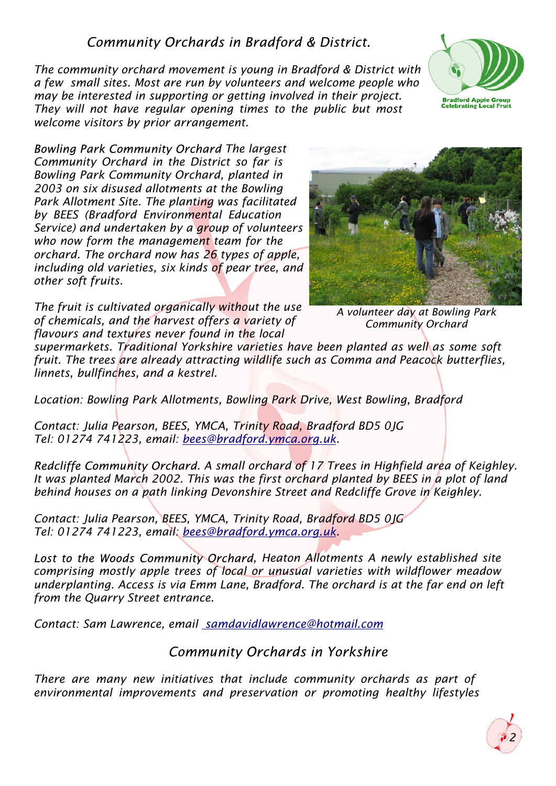## Community Orchards in Bradford & District.

*The community orchard movement is young in Bradford & District with a few small sites. Most are run by volunteers and welcome people who may be interested in supporting or getting involved in their project. They will not have regular opening times to the public but most welcome visitors by prior arrangement.*



**Bowling Park Community Orchard The largest** *Community Orchard in the District so far is Bowling Park Community Orchard, planted in 2003 on six disused allotments at the Bowling Park Allotment Site. The planting was facilitated by BEES (Bradford Environmental Education Service) and undertaken by a group of volunteers who now form the management team for the orchard. The orchard now has 26 types of apple, including old varieties, six kinds of pear tree, and other soft fruits.*



*The fruit is cultivated organically without the use of chemicals, and the harvest offers a variety of flavours and textures never found in the local*

*A volunteer day at Bowling Park Community Orchard*

*supermarkets. Traditional Yorkshire varieties have been planted as well as some soft fruit. The trees are already attracting wildlife such as Comma and Peacock butterflies, linnets, bullfinches, and a kestrel.*

*Location: Bowling Park Allotments, Bowling Park Drive, West Bowling, Bradford*

*Contact: Julia Pearson, BEES, YMCA, Trinity Road, Bradford BD5 0JG Tel: 01274 741223, email:bees@bradford.ymca.org.uk.*

*Redcliffe Community Orchard. A small orchard of 17 Trees in Highfield area of Keighley. It was planted March 2002. This was the first orchard planted by BEES in a plot of land behind houses on a path linking Devonshire Street and Redcliffe Grove in Keighley.*

*Contact: Julia Pearson, BEES, YMCA, Trinity Road, Bradford BD5 0JG Tel: 01274 741223, email:bees@bradford.ymca.org.uk.*

Lost to the Woods Community Orchard, Heaton Allotments A newly established site *comprising mostly apple trees of local or unusual varieties with wildflower meadow underplanting. Access is via Emm Lane, Bradford. The orchard is at the far end on left from the Quarry Street entrance.*

*Contact: Sam Lawrence, email samdavidlawrence@hotmail.com*

**Community Orchards in Yorkshire** 

*There are many new initiatives that include community orchards as part of environmental improvements and preservation or promoting healthy lifestyles*

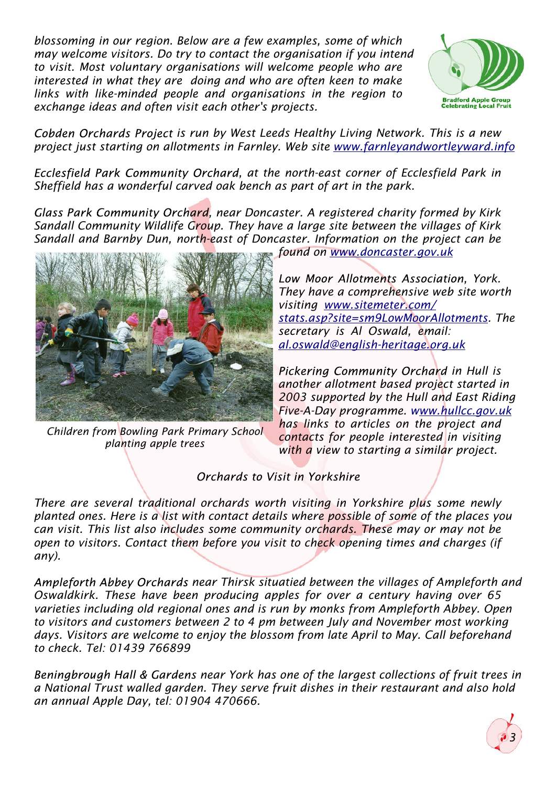*blossoming in our region. Below are a few examples, some of which may welcome visitors. Do try to contact the organisation if you intend to visit. Most voluntary organisations will welcome people who are interested in what they are doing and who are often keen to make links with like-minded people and organisations in the region to exchange ideas and often visit each other's projects.*



*Cobden Orchards Project is run by West Leeds Healthy Living Network. This is a new project just starting on allotments in Farnley. Web site www.farnleyandwortleyward.info* 

Ecclesfield Park Community Orchard, at the north-east corner of Ecclesfield Park in *Sheffield has a wonderful carved oak bench as part of art in the park.*

Glass Park Community Orchard, near Doncaster. A registered charity formed by Kirk *Sandall Community Wildlife Group. They have a large site between the villages of Kirk Sandall and Barnby Dun, north-east of Doncaster. Information on the project can be*



*Children from Bowling Park Primary School planting apple trees*

*found onwww.doncaster.gov.uk*

**Low Moor Allotments Association, York.** *They have a comprehensive web site worth visitingwww.sitemeter.com/ stats.asp?site=sm9LowMoorAllotments. The secretary is Al Oswald, email: al.oswald@english-heritage.org.uk*

**Pickering Community Orchard in Hull is** *another allotment based project started in 2003 supported by the Hull and East Riding Five-A-Day programme.www.hullcc.gov.uk has links to articles on the project and contacts for people interested in visiting with a view to starting a similar project.*

## Orchards to Visit in Yorkshire

*There are several traditional orchards worth visiting in Yorkshire plus some newly planted ones. Here is a list with contact details where possible of some of the places you can visit. This list also includes some community orchards. These may or may not be open to visitors. Contact them before you visit to check opening times and charges (if any).*

Ampleforth Abbey Orchards near Thirsk situatied between the villages of Ampleforth and *Oswaldkirk. These have been producing apples for over a century having over 65 varieties including old regional ones and is run by monks from Ampleforth Abbey. Open to visitors and customers between 2 to 4 pm between July and November most working days. Visitors are welcome to enjoy the blossom from late April to May. Call beforehand to check. Tel: 01439 766899*

**Beningbrough Hall & Gardens near York has one of the largest collections of fruit trees in** *a National Trust walled garden. They serve fruit dishes in their restaurant and also hold an annual Apple Day, tel: 01904 470666.*